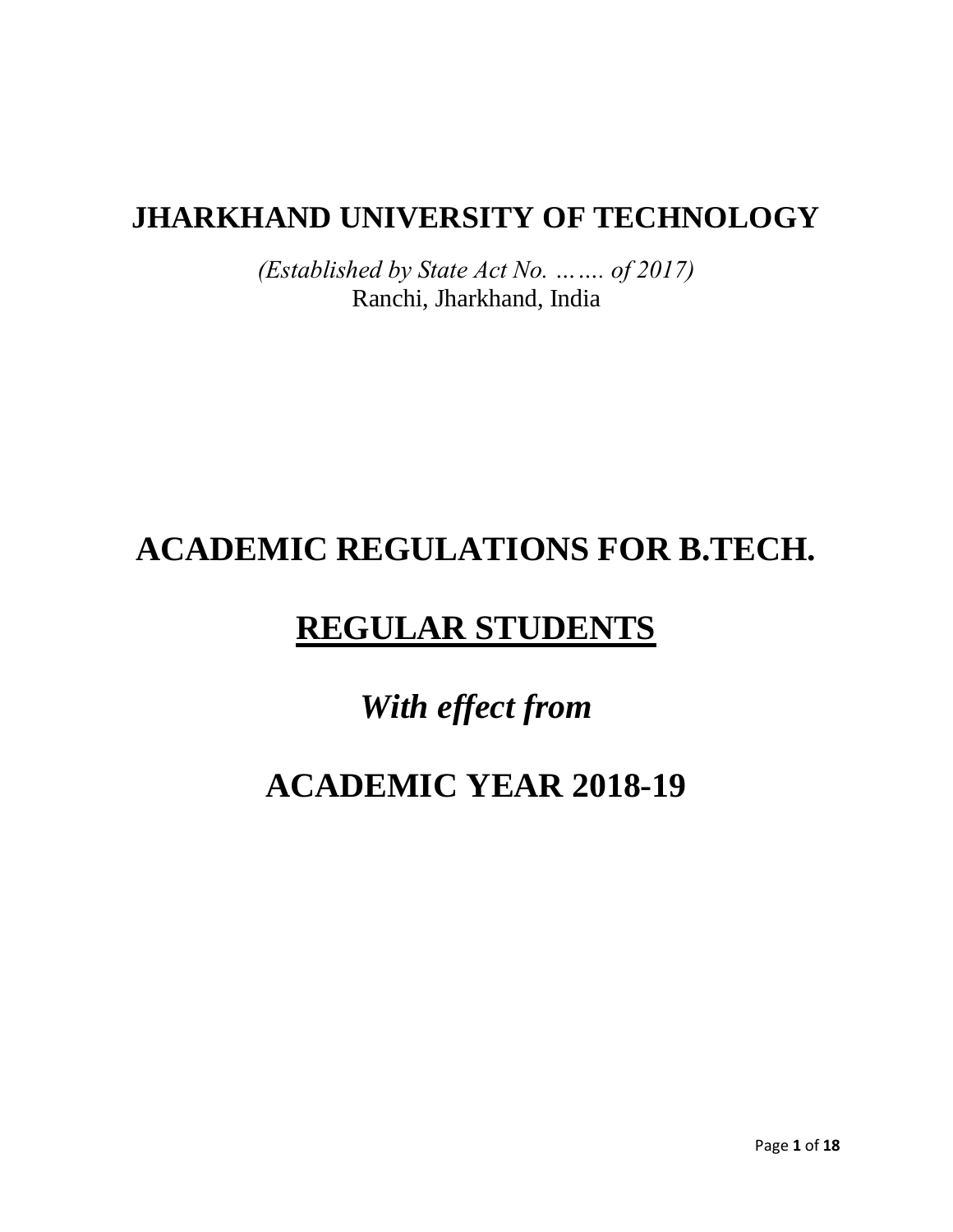## **JHARKHAND UNIVERSITY OF TECHNOLOGY**

*(Established by State Act No. ……. of 2017)* Ranchi, Jharkhand, India

## **ACADEMIC REGULATIONS FOR B.TECH.**

## **REGULAR STUDENTS**

# *With effect from*

# **ACADEMIC YEAR 2018-19**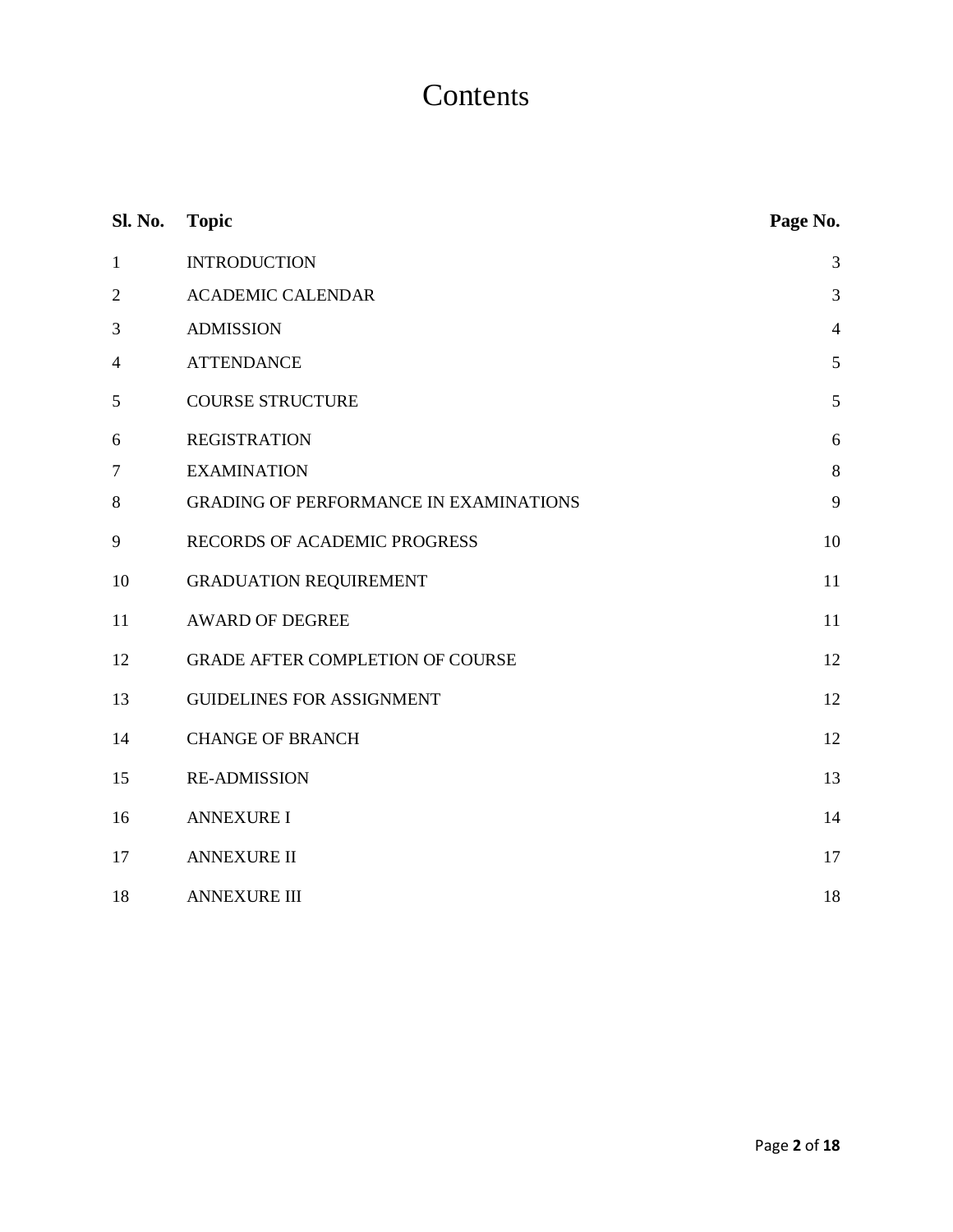## **Contents**

| Sl. No.        | <b>Topic</b>                                  | Page No.       |
|----------------|-----------------------------------------------|----------------|
| $\mathbf{1}$   | <b>INTRODUCTION</b>                           | 3              |
| $\mathfrak{2}$ | <b>ACADEMIC CALENDAR</b>                      | 3              |
| 3              | <b>ADMISSION</b>                              | $\overline{4}$ |
| $\overline{4}$ | <b>ATTENDANCE</b>                             | 5              |
| 5              | <b>COURSE STRUCTURE</b>                       | $\mathfrak{S}$ |
| 6              | <b>REGISTRATION</b>                           | 6              |
| 7              | <b>EXAMINATION</b>                            | $\,8\,$        |
| 8              | <b>GRADING OF PERFORMANCE IN EXAMINATIONS</b> | 9              |
| 9              | RECORDS OF ACADEMIC PROGRESS                  | 10             |
| 10             | <b>GRADUATION REQUIREMENT</b>                 | 11             |
| 11             | <b>AWARD OF DEGREE</b>                        | 11             |
| 12             | <b>GRADE AFTER COMPLETION OF COURSE</b>       | 12             |
| 13             | <b>GUIDELINES FOR ASSIGNMENT</b>              | 12             |
| 14             | <b>CHANGE OF BRANCH</b>                       | 12             |
| 15             | <b>RE-ADMISSION</b>                           | 13             |
| 16             | <b>ANNEXURE I</b>                             | 14             |
| 17             | <b>ANNEXURE II</b>                            | 17             |
| 18             | <b>ANNEXURE III</b>                           | 18             |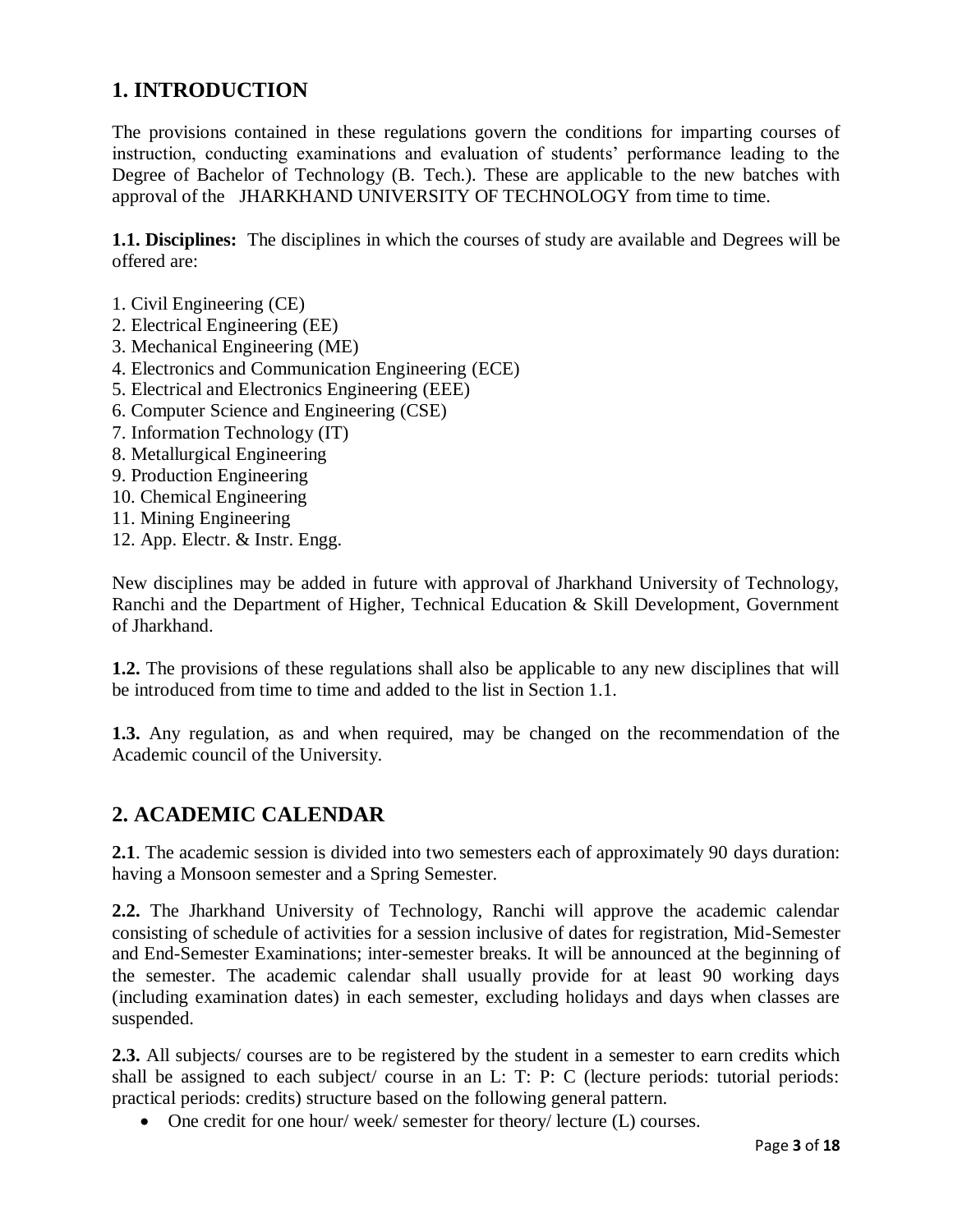## **1. INTRODUCTION**

The provisions contained in these regulations govern the conditions for imparting courses of instruction, conducting examinations and evaluation of students' performance leading to the Degree of Bachelor of Technology (B. Tech.). These are applicable to the new batches with approval of the JHARKHAND UNIVERSITY OF TECHNOLOGY from time to time.

**1.1. Disciplines:** The disciplines in which the courses of study are available and Degrees will be offered are:

- 1. Civil Engineering (CE)
- 2. Electrical Engineering (EE)
- 3. Mechanical Engineering (ME)
- 4. Electronics and Communication Engineering (ECE)
- 5. Electrical and Electronics Engineering (EEE)
- 6. Computer Science and Engineering (CSE)
- 7. Information Technology (IT)
- 8. Metallurgical Engineering
- 9. Production Engineering
- 10. Chemical Engineering
- 11. Mining Engineering
- 12. App. Electr. & Instr. Engg.

New disciplines may be added in future with approval of Jharkhand University of Technology, Ranchi and the Department of Higher, Technical Education & Skill Development, Government of Jharkhand.

**1.2.** The provisions of these regulations shall also be applicable to any new disciplines that will be introduced from time to time and added to the list in Section 1.1.

**1.3.** Any regulation, as and when required, may be changed on the recommendation of the Academic council of the University.

## **2. ACADEMIC CALENDAR**

**2.1**. The academic session is divided into two semesters each of approximately 90 days duration: having a Monsoon semester and a Spring Semester.

**2.2.** The Jharkhand University of Technology, Ranchi will approve the academic calendar consisting of schedule of activities for a session inclusive of dates for registration, Mid-Semester and End-Semester Examinations; inter-semester breaks. It will be announced at the beginning of the semester. The academic calendar shall usually provide for at least 90 working days (including examination dates) in each semester, excluding holidays and days when classes are suspended.

**2.3.** All subjects/ courses are to be registered by the student in a semester to earn credits which shall be assigned to each subject/ course in an L: T: P: C (lecture periods: tutorial periods: practical periods: credits) structure based on the following general pattern.

• One credit for one hour/ week/ semester for theory/ lecture (L) courses.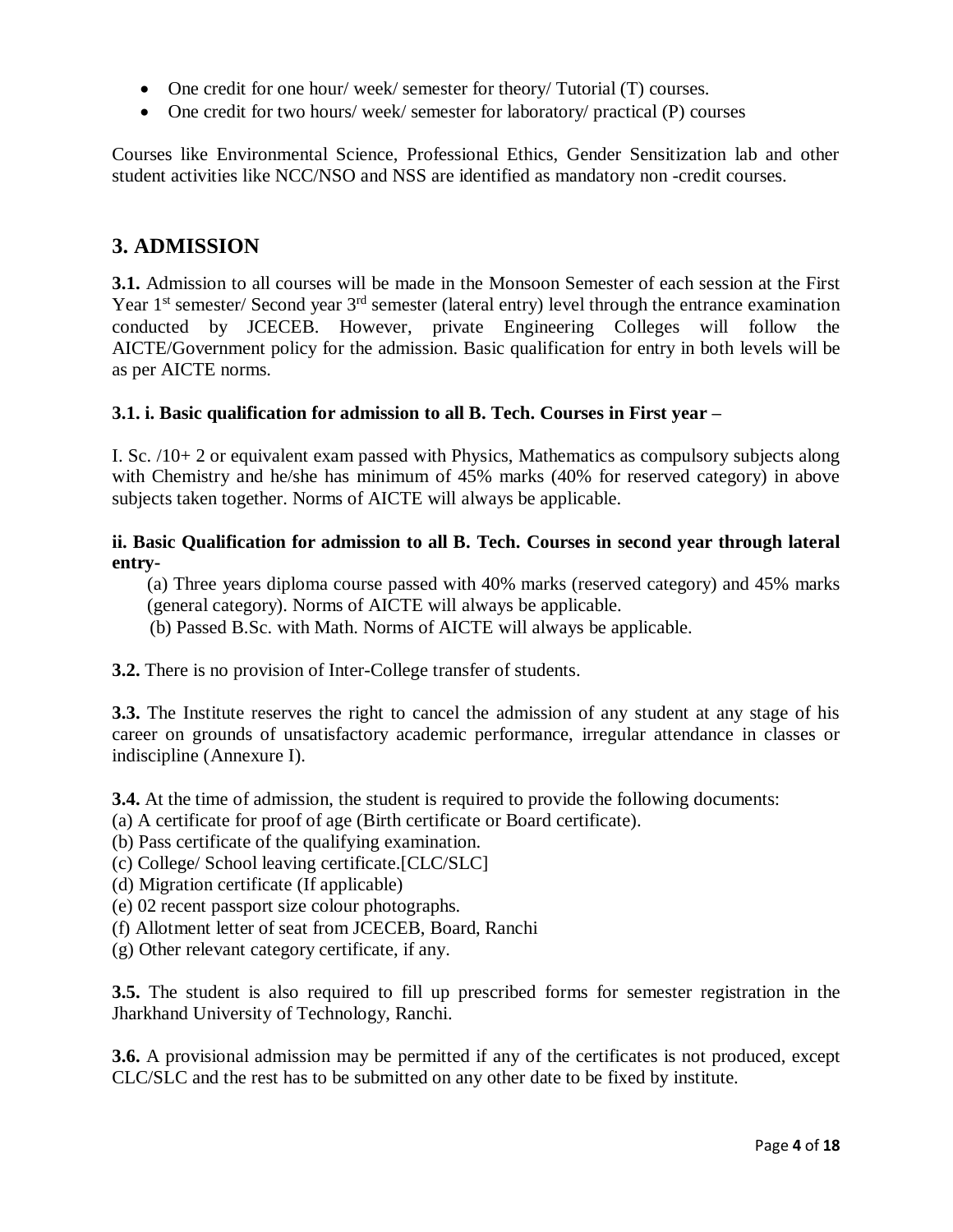- One credit for one hour/ week/ semester for theory/ Tutorial (T) courses.
- One credit for two hours/ week/ semester for laboratory/ practical (P) courses

Courses like Environmental Science, Professional Ethics, Gender Sensitization lab and other student activities like NCC/NSO and NSS are identified as mandatory non -credit courses.

### **3. ADMISSION**

**3.1.** Admission to all courses will be made in the Monsoon Semester of each session at the First Year 1<sup>st</sup> semester/ Second year 3<sup>rd</sup> semester (lateral entry) level through the entrance examination conducted by JCECEB. However, private Engineering Colleges will follow the AICTE/Government policy for the admission. Basic qualification for entry in both levels will be as per AICTE norms.

#### **3.1. i. Basic qualification for admission to all B. Tech. Courses in First year –**

I. Sc. /10+ 2 or equivalent exam passed with Physics, Mathematics as compulsory subjects along with Chemistry and he/she has minimum of 45% marks (40% for reserved category) in above subjects taken together. Norms of AICTE will always be applicable.

#### **ii. Basic Qualification for admission to all B. Tech. Courses in second year through lateral entry-**

(a) Three years diploma course passed with 40% marks (reserved category) and 45% marks (general category). Norms of AICTE will always be applicable.

(b) Passed B.Sc. with Math. Norms of AICTE will always be applicable.

**3.2.** There is no provision of Inter-College transfer of students.

**3.3.** The Institute reserves the right to cancel the admission of any student at any stage of his career on grounds of unsatisfactory academic performance, irregular attendance in classes or indiscipline (Annexure I).

**3.4.** At the time of admission, the student is required to provide the following documents:

- (a) A certificate for proof of age (Birth certificate or Board certificate).
- (b) Pass certificate of the qualifying examination.
- (c) College/ School leaving certificate.[CLC/SLC]
- (d) Migration certificate (If applicable)
- (e) 02 recent passport size colour photographs.
- (f) Allotment letter of seat from JCECEB, Board, Ranchi
- (g) Other relevant category certificate, if any.

**3.5.** The student is also required to fill up prescribed forms for semester registration in the Jharkhand University of Technology, Ranchi.

**3.6.** A provisional admission may be permitted if any of the certificates is not produced, except CLC/SLC and the rest has to be submitted on any other date to be fixed by institute.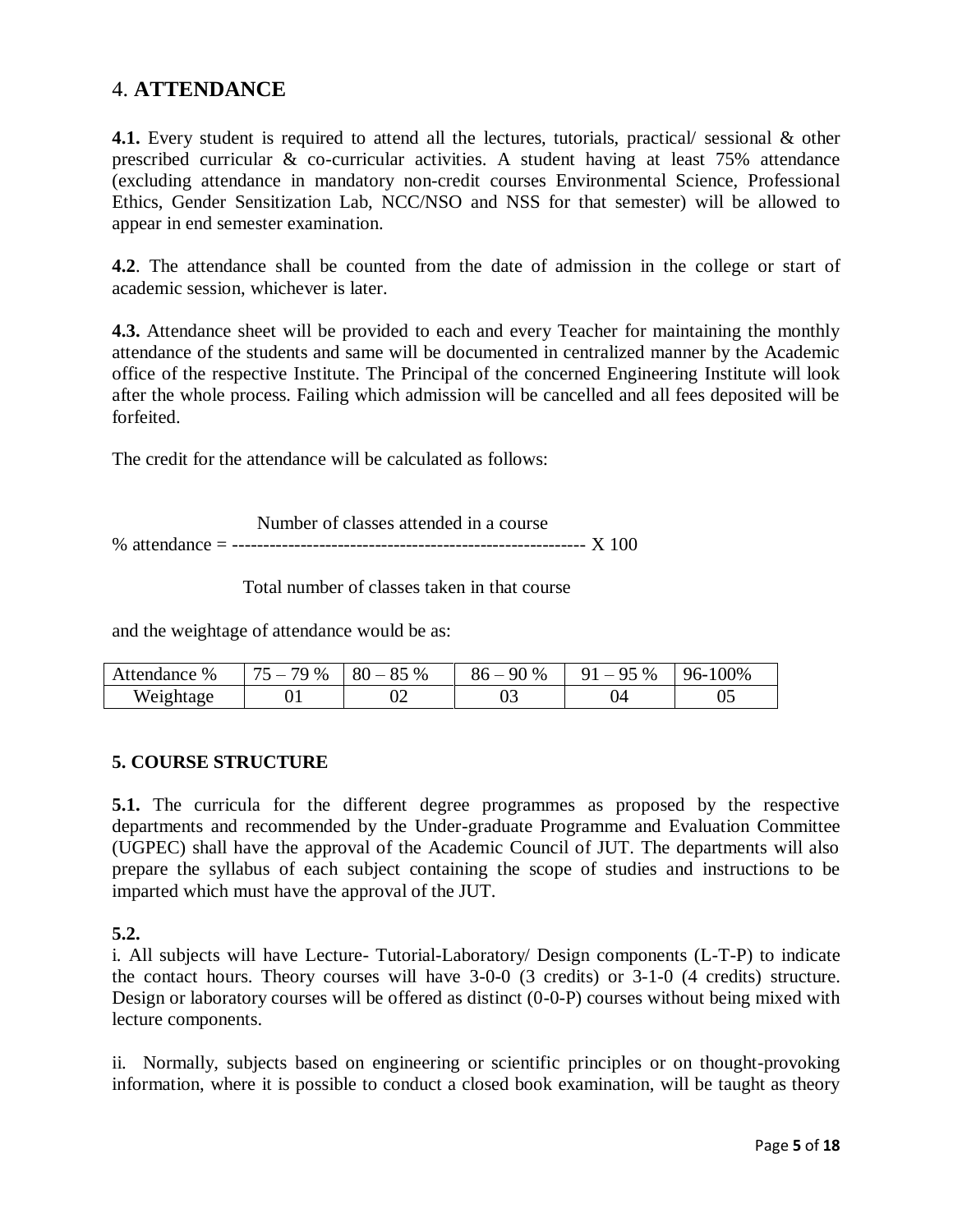## 4. **ATTENDANCE**

**4.1.** Every student is required to attend all the lectures, tutorials, practical/ sessional & other prescribed curricular & co-curricular activities. A student having at least 75% attendance (excluding attendance in mandatory non-credit courses Environmental Science, Professional Ethics, Gender Sensitization Lab, NCC/NSO and NSS for that semester) will be allowed to appear in end semester examination.

**4.2**. The attendance shall be counted from the date of admission in the college or start of academic session, whichever is later.

**4.3.** Attendance sheet will be provided to each and every Teacher for maintaining the monthly attendance of the students and same will be documented in centralized manner by the Academic office of the respective Institute. The Principal of the concerned Engineering Institute will look after the whole process. Failing which admission will be cancelled and all fees deposited will be forfeited.

The credit for the attendance will be calculated as follows:

 Number of classes attended in a course % attendance = --------------------------------------------------------- X 100

Total number of classes taken in that course

and the weightage of attendance would be as:

| Attendance % | $75-$<br>79 % | $80 - 85%$ | 90 %<br>86 – | $1 - 95\%$<br>Q 1 | 96-100% |
|--------------|---------------|------------|--------------|-------------------|---------|
| Weightage    |               | 02         | ບປ           | Э4                | v.      |

#### **5. COURSE STRUCTURE**

**5.1.** The curricula for the different degree programmes as proposed by the respective departments and recommended by the Under-graduate Programme and Evaluation Committee (UGPEC) shall have the approval of the Academic Council of JUT. The departments will also prepare the syllabus of each subject containing the scope of studies and instructions to be imparted which must have the approval of the JUT.

**5.2.**

i. All subjects will have Lecture- Tutorial-Laboratory/ Design components (L-T-P) to indicate the contact hours. Theory courses will have 3-0-0 (3 credits) or 3-1-0 (4 credits) structure. Design or laboratory courses will be offered as distinct (0-0-P) courses without being mixed with lecture components.

ii. Normally, subjects based on engineering or scientific principles or on thought-provoking information, where it is possible to conduct a closed book examination, will be taught as theory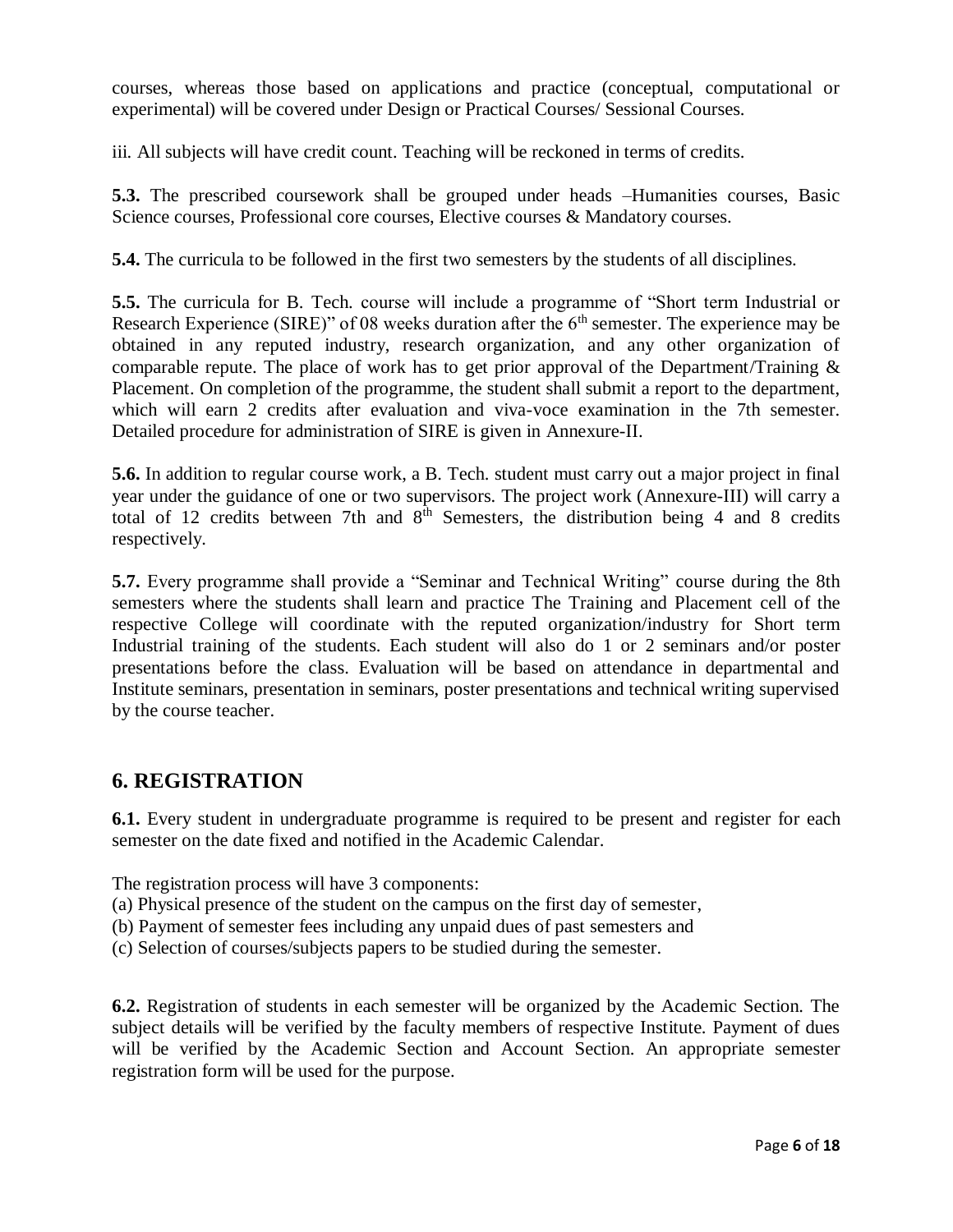courses, whereas those based on applications and practice (conceptual, computational or experimental) will be covered under Design or Practical Courses/ Sessional Courses.

iii. All subjects will have credit count. Teaching will be reckoned in terms of credits.

**5.3.** The prescribed coursework shall be grouped under heads –Humanities courses, Basic Science courses, Professional core courses, Elective courses & Mandatory courses.

**5.4.** The curricula to be followed in the first two semesters by the students of all disciplines.

**5.5.** The curricula for B. Tech. course will include a programme of "Short term Industrial or Research Experience (SIRE)" of 08 weeks duration after the  $6<sup>th</sup>$  semester. The experience may be obtained in any reputed industry, research organization, and any other organization of comparable repute. The place of work has to get prior approval of the Department/Training & Placement. On completion of the programme, the student shall submit a report to the department, which will earn 2 credits after evaluation and viva-voce examination in the 7th semester. Detailed procedure for administration of SIRE is given in Annexure-II.

**5.6.** In addition to regular course work, a B. Tech. student must carry out a major project in final year under the guidance of one or two supervisors. The project work (Annexure-III) will carry a total of 12 credits between 7th and  $8<sup>th</sup>$  Semesters, the distribution being 4 and 8 credits respectively.

**5.7.** Every programme shall provide a "Seminar and Technical Writing" course during the 8th semesters where the students shall learn and practice The Training and Placement cell of the respective College will coordinate with the reputed organization/industry for Short term Industrial training of the students. Each student will also do 1 or 2 seminars and/or poster presentations before the class. Evaluation will be based on attendance in departmental and Institute seminars, presentation in seminars, poster presentations and technical writing supervised by the course teacher.

### **6. REGISTRATION**

**6.1.** Every student in undergraduate programme is required to be present and register for each semester on the date fixed and notified in the Academic Calendar.

The registration process will have 3 components:

- (a) Physical presence of the student on the campus on the first day of semester,
- (b) Payment of semester fees including any unpaid dues of past semesters and
- (c) Selection of courses/subjects papers to be studied during the semester.

**6.2.** Registration of students in each semester will be organized by the Academic Section. The subject details will be verified by the faculty members of respective Institute. Payment of dues will be verified by the Academic Section and Account Section. An appropriate semester registration form will be used for the purpose.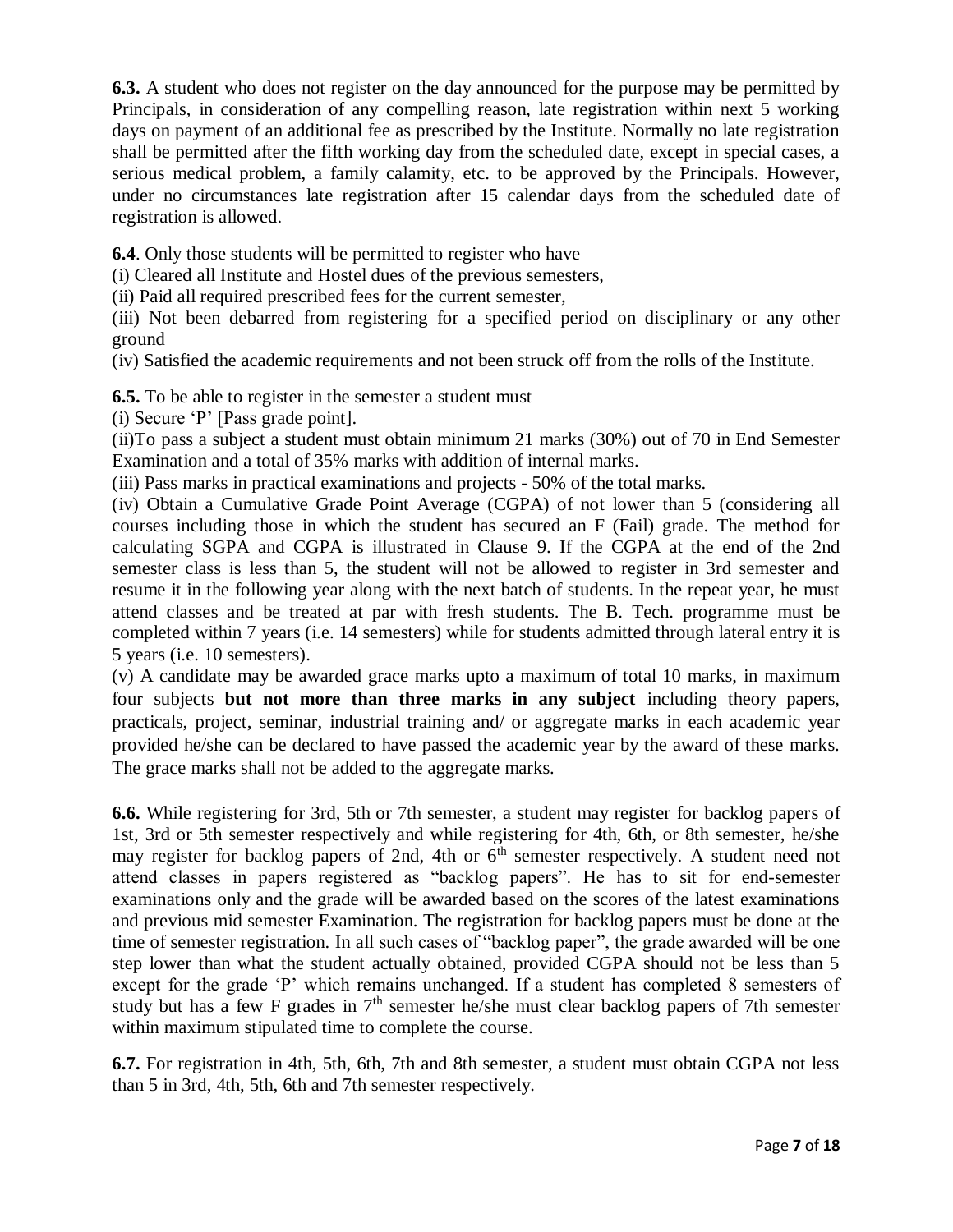**6.3.** A student who does not register on the day announced for the purpose may be permitted by Principals, in consideration of any compelling reason, late registration within next 5 working days on payment of an additional fee as prescribed by the Institute. Normally no late registration shall be permitted after the fifth working day from the scheduled date, except in special cases, a serious medical problem, a family calamity, etc. to be approved by the Principals. However, under no circumstances late registration after 15 calendar days from the scheduled date of registration is allowed.

**6.4**. Only those students will be permitted to register who have

(i) Cleared all Institute and Hostel dues of the previous semesters,

(ii) Paid all required prescribed fees for the current semester,

(iii) Not been debarred from registering for a specified period on disciplinary or any other ground

(iv) Satisfied the academic requirements and not been struck off from the rolls of the Institute.

**6.5.** To be able to register in the semester a student must

(i) Secure 'P' [Pass grade point].

(ii)To pass a subject a student must obtain minimum 21 marks (30%) out of 70 in End Semester Examination and a total of 35% marks with addition of internal marks.

(iii) Pass marks in practical examinations and projects - 50% of the total marks.

(iv) Obtain a Cumulative Grade Point Average (CGPA) of not lower than 5 (considering all courses including those in which the student has secured an F (Fail) grade. The method for calculating SGPA and CGPA is illustrated in Clause 9. If the CGPA at the end of the 2nd semester class is less than 5, the student will not be allowed to register in 3rd semester and resume it in the following year along with the next batch of students. In the repeat year, he must attend classes and be treated at par with fresh students. The B. Tech. programme must be completed within 7 years (i.e. 14 semesters) while for students admitted through lateral entry it is 5 years (i.e. 10 semesters).

(v) A candidate may be awarded grace marks upto a maximum of total 10 marks, in maximum four subjects **but not more than three marks in any subject** including theory papers, practicals, project, seminar, industrial training and/ or aggregate marks in each academic year provided he/she can be declared to have passed the academic year by the award of these marks. The grace marks shall not be added to the aggregate marks.

**6.6.** While registering for 3rd, 5th or 7th semester, a student may register for backlog papers of 1st, 3rd or 5th semester respectively and while registering for 4th, 6th, or 8th semester, he/she may register for backlog papers of 2nd, 4th or  $6<sup>th</sup>$  semester respectively. A student need not attend classes in papers registered as "backlog papers". He has to sit for end-semester examinations only and the grade will be awarded based on the scores of the latest examinations and previous mid semester Examination. The registration for backlog papers must be done at the time of semester registration. In all such cases of "backlog paper", the grade awarded will be one step lower than what the student actually obtained, provided CGPA should not be less than 5 except for the grade 'P' which remains unchanged. If a student has completed 8 semesters of study but has a few F grades in  $7<sup>th</sup>$  semester he/she must clear backlog papers of 7th semester within maximum stipulated time to complete the course.

**6.7.** For registration in 4th, 5th, 6th, 7th and 8th semester, a student must obtain CGPA not less than 5 in 3rd, 4th, 5th, 6th and 7th semester respectively.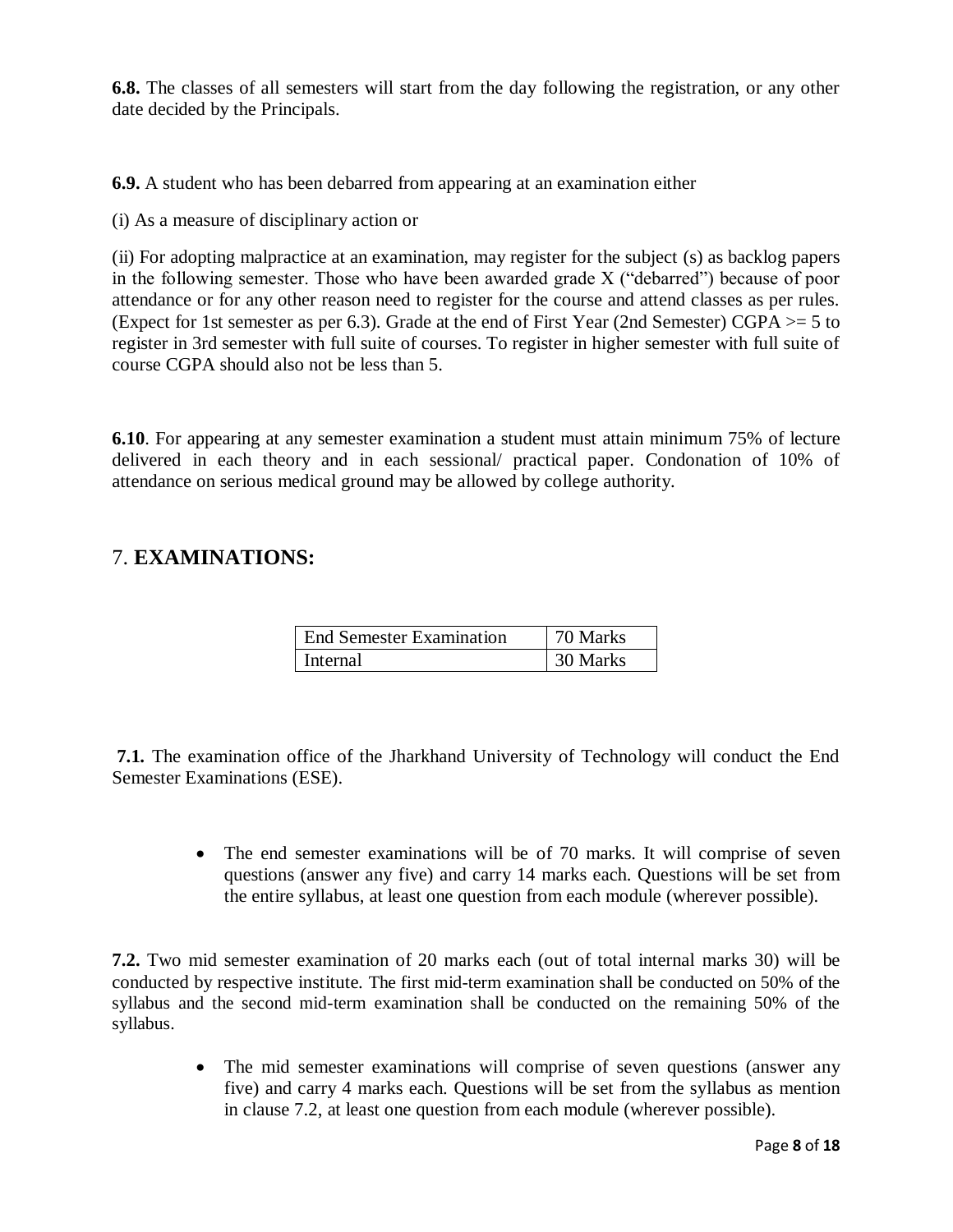**6.8.** The classes of all semesters will start from the day following the registration, or any other date decided by the Principals.

**6.9.** A student who has been debarred from appearing at an examination either

(i) As a measure of disciplinary action or

(ii) For adopting malpractice at an examination, may register for the subject (s) as backlog papers in the following semester. Those who have been awarded grade X ("debarred") because of poor attendance or for any other reason need to register for the course and attend classes as per rules. (Expect for 1st semester as per 6.3). Grade at the end of First Year (2nd Semester) CGPA >= 5 to register in 3rd semester with full suite of courses. To register in higher semester with full suite of course CGPA should also not be less than 5.

**6.10**. For appearing at any semester examination a student must attain minimum 75% of lecture delivered in each theory and in each sessional/ practical paper. Condonation of 10% of attendance on serious medical ground may be allowed by college authority.

## 7. **EXAMINATIONS:**

| <b>End Semester Examination</b> | 70 Marks |
|---------------------------------|----------|
| l Internal                      | 30 Marks |

**7.1.** The examination office of the Jharkhand University of Technology will conduct the End Semester Examinations (ESE).

> • The end semester examinations will be of 70 marks. It will comprise of seven questions (answer any five) and carry 14 marks each. Questions will be set from the entire syllabus, at least one question from each module (wherever possible).

**7.2.** Two mid semester examination of 20 marks each (out of total internal marks 30) will be conducted by respective institute. The first mid-term examination shall be conducted on 50% of the syllabus and the second mid-term examination shall be conducted on the remaining 50% of the syllabus.

> The mid semester examinations will comprise of seven questions (answer any five) and carry 4 marks each. Questions will be set from the syllabus as mention in clause 7.2, at least one question from each module (wherever possible).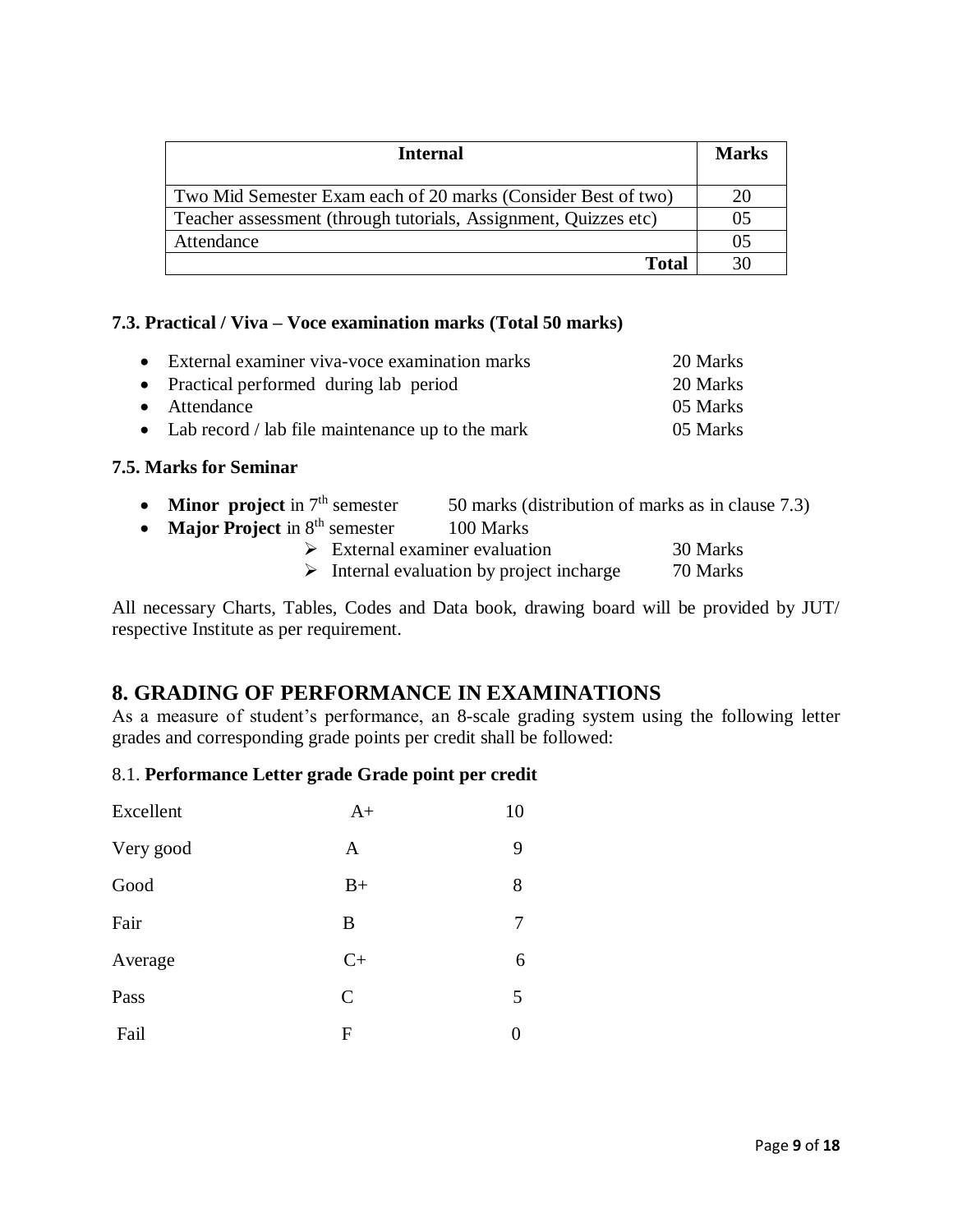| <b>Internal</b>                                                 | <b>Marks</b> |
|-----------------------------------------------------------------|--------------|
| Two Mid Semester Exam each of 20 marks (Consider Best of two)   |              |
| Teacher assessment (through tutorials, Assignment, Quizzes etc) |              |
| Attendance                                                      |              |
| Total                                                           |              |

#### **7.3. Practical / Viva – Voce examination marks (Total 50 marks)**

| • External examiner viva-voce examination marks    | 20 Marks |
|----------------------------------------------------|----------|
| • Practical performed during lab period            | 20 Marks |
| • Attendance                                       | 05 Marks |
| • Lab record / lab file maintenance up to the mark | 05 Marks |

#### **7.5. Marks for Seminar**

|  |  | <b>Minor</b> project in $7th$ semester | 50 marks (distribution of marks as in clause 7.3) |
|--|--|----------------------------------------|---------------------------------------------------|
|--|--|----------------------------------------|---------------------------------------------------|

• **Major Project** in 8<sup>th</sup> semester 100 Marks

| $\triangleright$ External examiner evaluation |  |  |  | 30 Marks |
|-----------------------------------------------|--|--|--|----------|
|                                               |  |  |  |          |

 $\triangleright$  Internal evaluation by project incharge 70 Marks

All necessary Charts, Tables, Codes and Data book, drawing board will be provided by JUT/ respective Institute as per requirement.

## **8. GRADING OF PERFORMANCE IN EXAMINATIONS**

As a measure of student's performance, an 8-scale grading system using the following letter grades and corresponding grade points per credit shall be followed:

#### 8.1. **Performance Letter grade Grade point per credit**

| Excellent | $A+$         | 10 |
|-----------|--------------|----|
| Very good | A            | 9  |
| Good      | $B+$         | 8  |
| Fair      | B            | 7  |
| Average   | $C+$         | 6  |
| Pass      | $\mathsf{C}$ | 5  |
| Fail      | F            | 0  |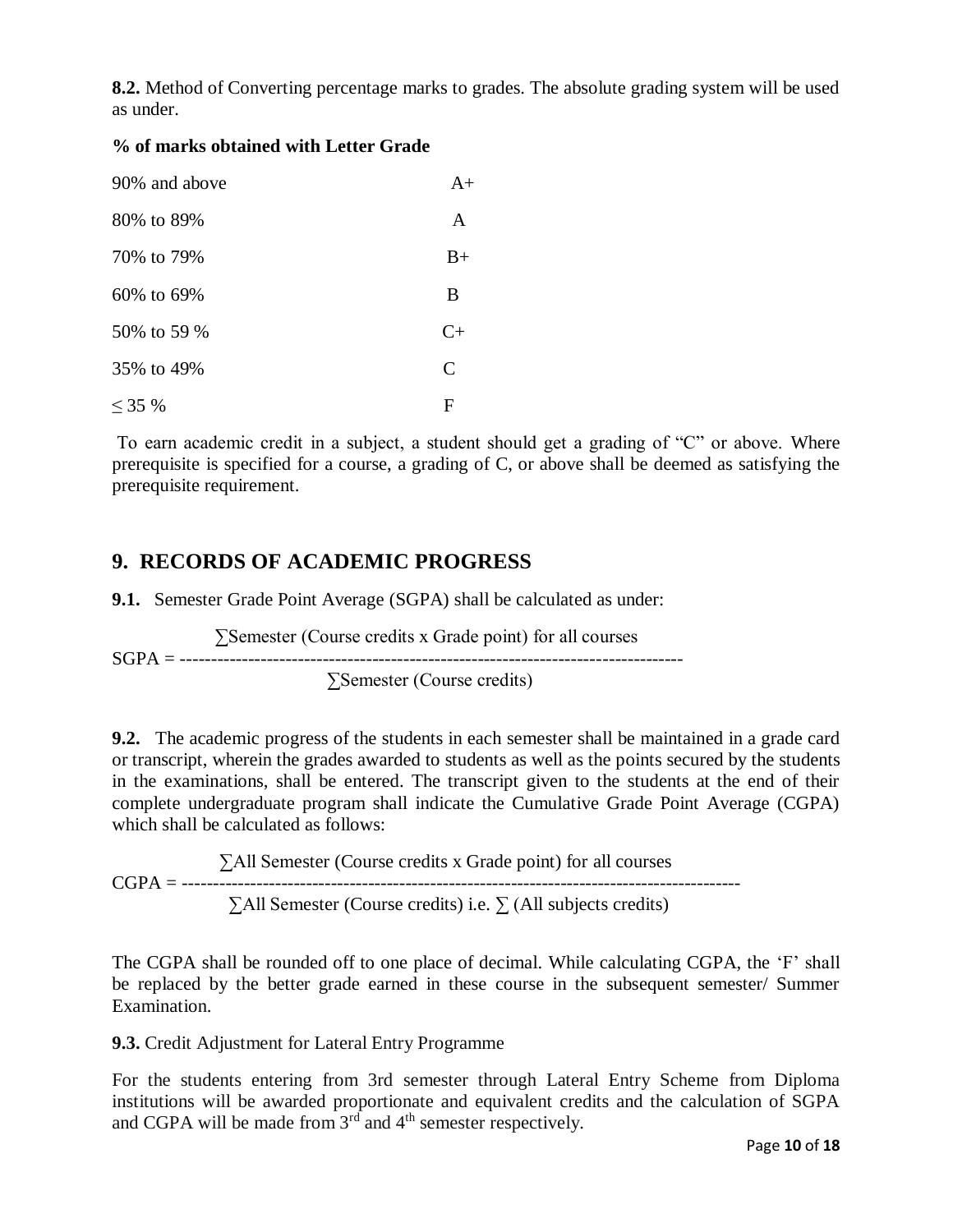**8.2.** Method of Converting percentage marks to grades. The absolute grading system will be used as under.

#### **% of marks obtained with Letter Grade**

| 90% and above | $A+$          |
|---------------|---------------|
| 80\% to 89\%  | A             |
| 70% to 79%    | $B+$          |
| 60% to 69%    | B             |
| 50% to 59 %   | $C+$          |
| 35% to 49%    | $\mathcal{C}$ |
| $< 35\%$      | F             |

To earn academic credit in a subject, a student should get a grading of "C" or above. Where prerequisite is specified for a course, a grading of C, or above shall be deemed as satisfying the prerequisite requirement.

## **9. RECORDS OF ACADEMIC PROGRESS**

**9.1.** Semester Grade Point Average (SGPA) shall be calculated as under:

 ∑Semester (Course credits x Grade point) for all courses SGPA = --------------------------------------------------------------------------------- ∑Semester (Course credits)

**9.2.** The academic progress of the students in each semester shall be maintained in a grade card or transcript, wherein the grades awarded to students as well as the points secured by the students in the examinations, shall be entered. The transcript given to the students at the end of their complete undergraduate program shall indicate the Cumulative Grade Point Average (CGPA) which shall be calculated as follows:

∑All Semester (Course credits x Grade point) for all courses  $CGPA = 1$ ∑All Semester (Course credits) i.e. ∑ (All subjects credits)

The CGPA shall be rounded off to one place of decimal. While calculating CGPA, the 'F' shall be replaced by the better grade earned in these course in the subsequent semester/ Summer Examination.

#### **9.3.** Credit Adjustment for Lateral Entry Programme

For the students entering from 3rd semester through Lateral Entry Scheme from Diploma institutions will be awarded proportionate and equivalent credits and the calculation of SGPA and CGPA will be made from  $3<sup>rd</sup>$  and  $4<sup>th</sup>$  semester respectively.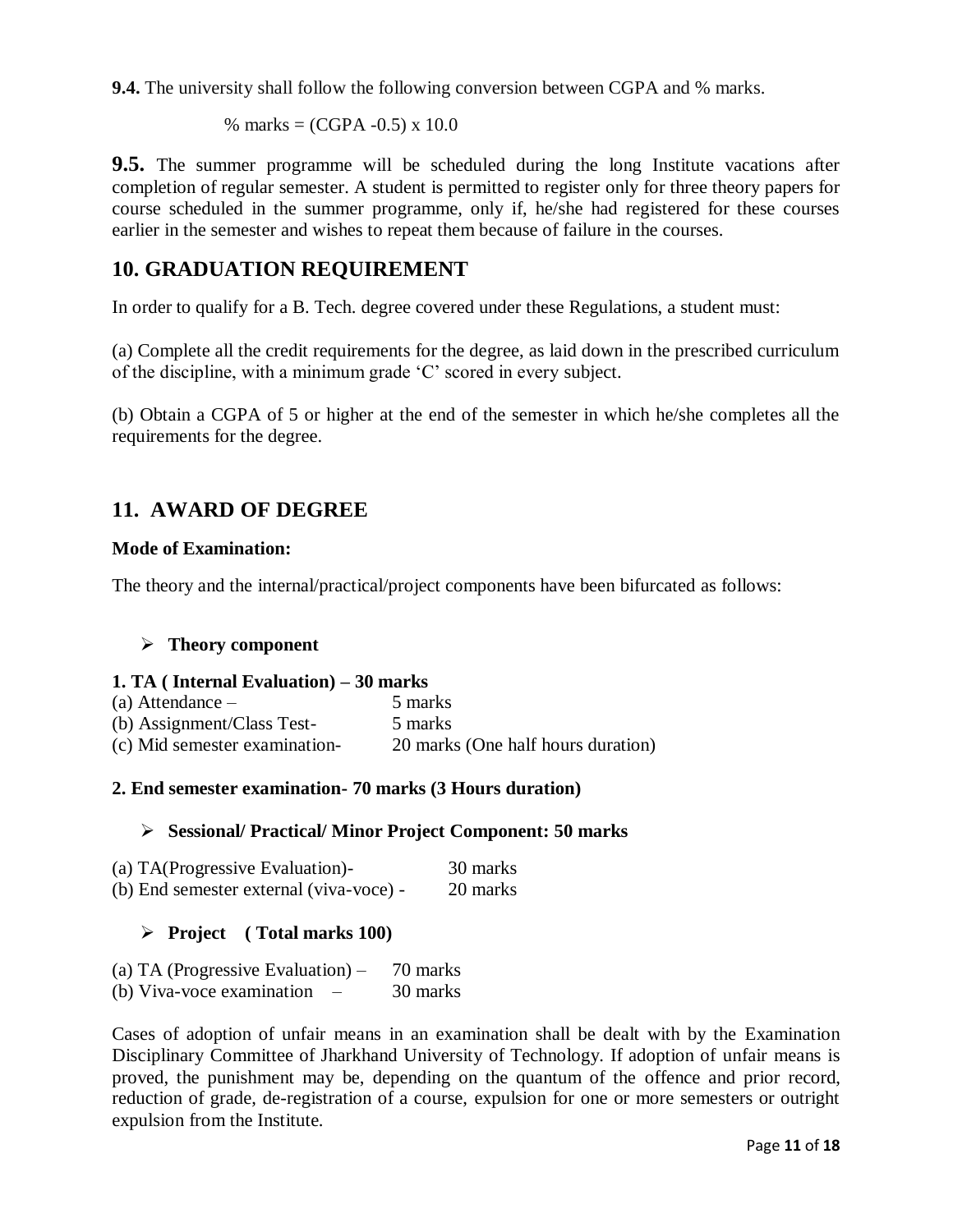**9.4.** The university shall follow the following conversion between CGPA and % marks.

% marks =  $(CGPA - 0.5) \times 10.0$ 

**9.5.** The summer programme will be scheduled during the long Institute vacations after completion of regular semester. A student is permitted to register only for three theory papers for course scheduled in the summer programme, only if, he/she had registered for these courses earlier in the semester and wishes to repeat them because of failure in the courses.

## **10. GRADUATION REQUIREMENT**

In order to qualify for a B. Tech. degree covered under these Regulations, a student must:

(a) Complete all the credit requirements for the degree, as laid down in the prescribed curriculum of the discipline, with a minimum grade 'C' scored in every subject.

(b) Obtain a CGPA of 5 or higher at the end of the semester in which he/she completes all the requirements for the degree.

## **11. AWARD OF DEGREE**

#### **Mode of Examination:**

The theory and the internal/practical/project components have been bifurcated as follows:

#### **Theory component**

#### **1. TA ( Internal Evaluation) – 30 marks**

| (a) Attendance $-$            | 5 marks                            |
|-------------------------------|------------------------------------|
| (b) Assignment/Class Test-    | 5 marks                            |
| (c) Mid semester examination- | 20 marks (One half hours duration) |

#### **2. End semester examination- 70 marks (3 Hours duration)**

#### **Sessional/ Practical/ Minor Project Component: 50 marks**

| (a) TA(Progressive Evaluation)-         | 30 marks |
|-----------------------------------------|----------|
| (b) End semester external (viva-voce) - | 20 marks |

#### **Project ( Total marks 100)**

| (a) TA (Progressive Evaluation) $-$                   | 70 marks |
|-------------------------------------------------------|----------|
| (b) Viva-voce examination<br>$\overline{\phantom{a}}$ | 30 marks |

Cases of adoption of unfair means in an examination shall be dealt with by the Examination Disciplinary Committee of Jharkhand University of Technology. If adoption of unfair means is proved, the punishment may be, depending on the quantum of the offence and prior record, reduction of grade, de-registration of a course, expulsion for one or more semesters or outright expulsion from the Institute.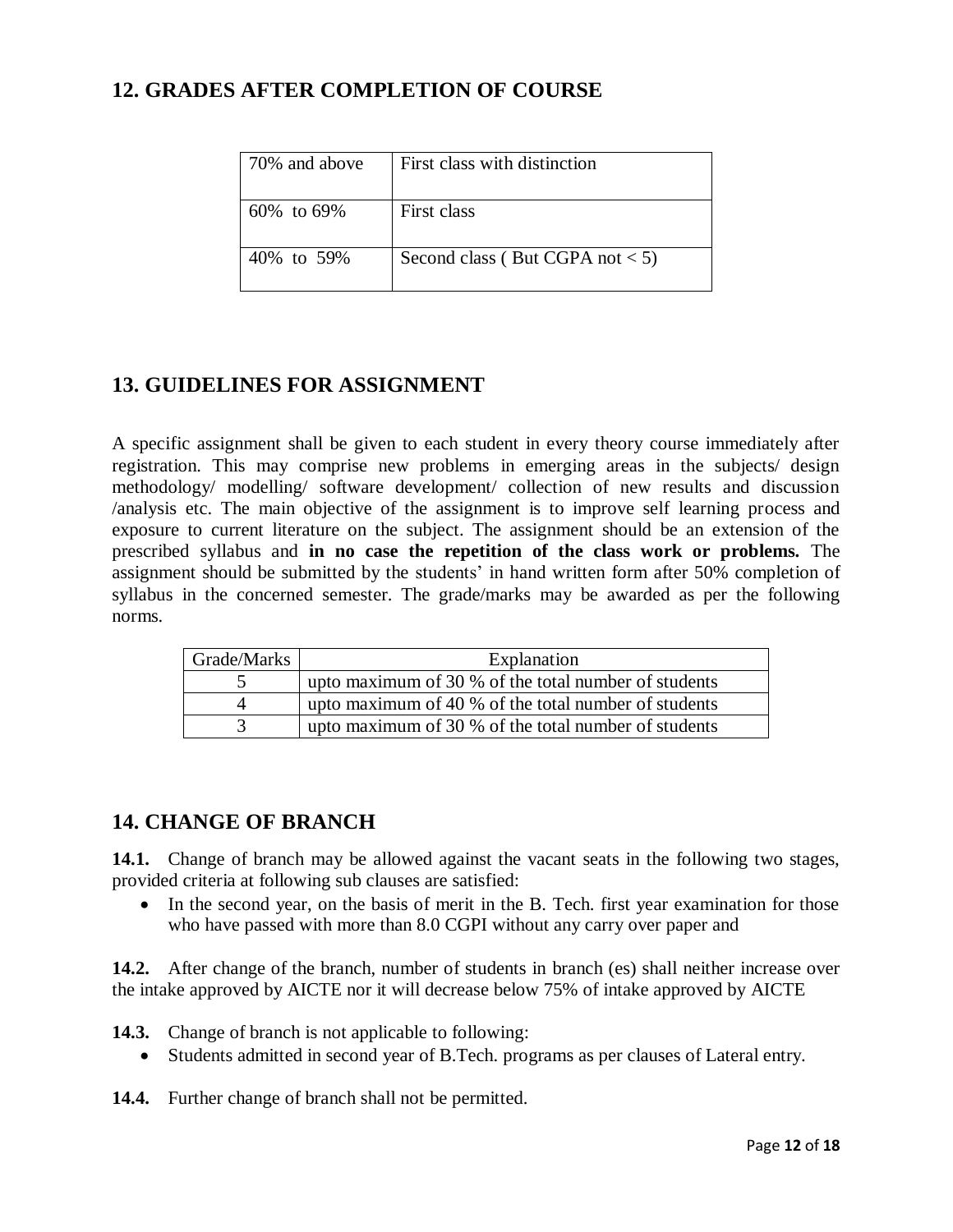## **12. GRADES AFTER COMPLETION OF COURSE**

| 70% and above    | First class with distinction      |
|------------------|-----------------------------------|
| $60\%$ to $69\%$ | First class                       |
| 40% to 59%       | Second class (But CGPA not $<$ 5) |

## **13. GUIDELINES FOR ASSIGNMENT**

A specific assignment shall be given to each student in every theory course immediately after registration. This may comprise new problems in emerging areas in the subjects/ design methodology/ modelling/ software development/ collection of new results and discussion /analysis etc. The main objective of the assignment is to improve self learning process and exposure to current literature on the subject. The assignment should be an extension of the prescribed syllabus and **in no case the repetition of the class work or problems.** The assignment should be submitted by the students' in hand written form after 50% completion of syllabus in the concerned semester. The grade/marks may be awarded as per the following norms.

| Grade/Marks | Explanation                                          |
|-------------|------------------------------------------------------|
|             | upto maximum of 30 % of the total number of students |
|             | upto maximum of 40 % of the total number of students |
|             | upto maximum of 30 % of the total number of students |

## **14. CHANGE OF BRANCH**

14.1. Change of branch may be allowed against the vacant seats in the following two stages, provided criteria at following sub clauses are satisfied:

• In the second year, on the basis of merit in the B. Tech. first year examination for those who have passed with more than 8.0 CGPI without any carry over paper and

**14.2.** After change of the branch, number of students in branch (es) shall neither increase over the intake approved by AICTE nor it will decrease below 75% of intake approved by AICTE

**14.3.** Change of branch is not applicable to following:

Students admitted in second year of B.Tech. programs as per clauses of Lateral entry.

**14.4.** Further change of branch shall not be permitted.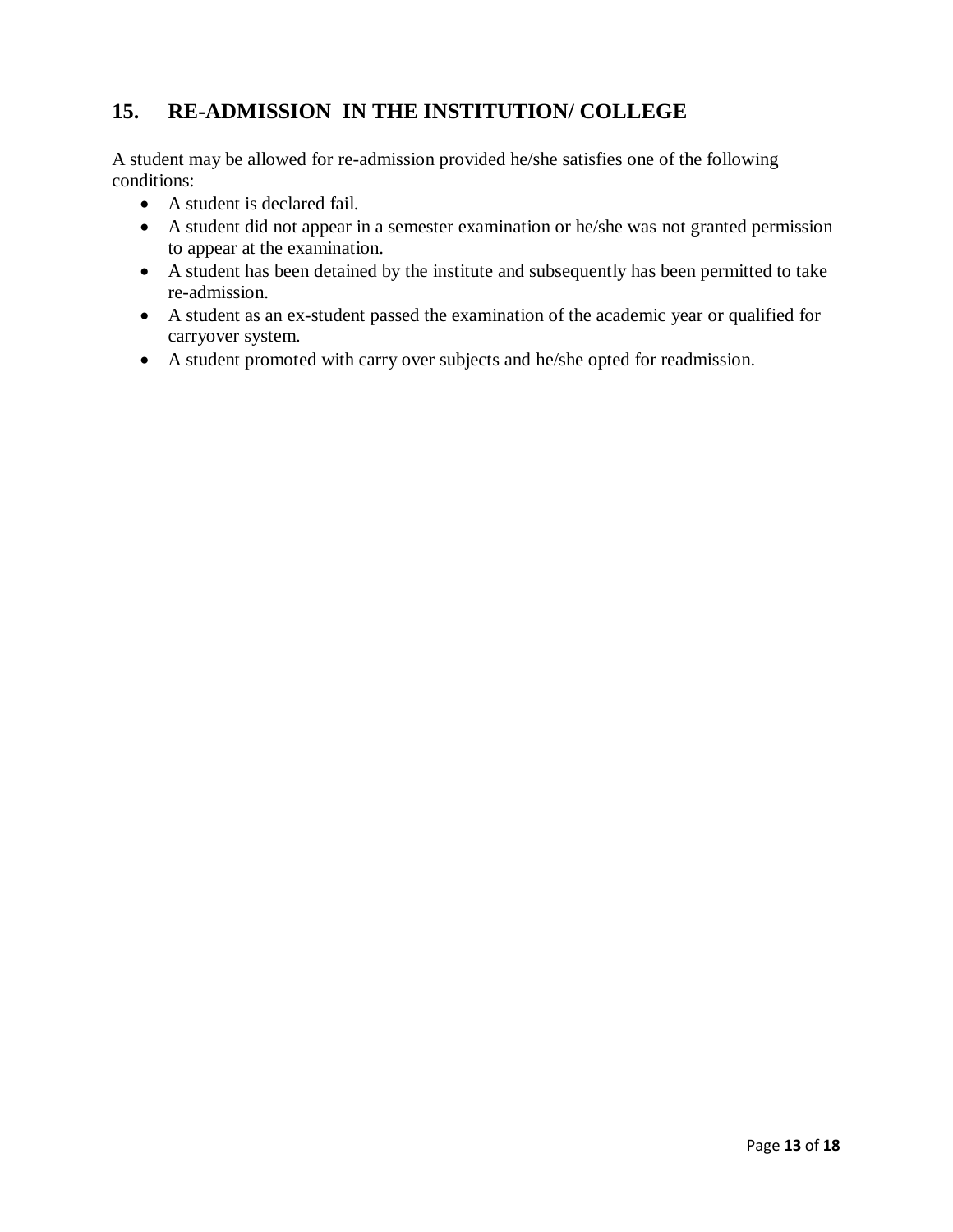## **15. RE-ADMISSION IN THE INSTITUTION/ COLLEGE**

A student may be allowed for re-admission provided he/she satisfies one of the following conditions:

- A student is declared fail.
- A student did not appear in a semester examination or he/she was not granted permission to appear at the examination.
- A student has been detained by the institute and subsequently has been permitted to take re-admission.
- A student as an ex-student passed the examination of the academic year or qualified for carryover system.
- A student promoted with carry over subjects and he/she opted for readmission.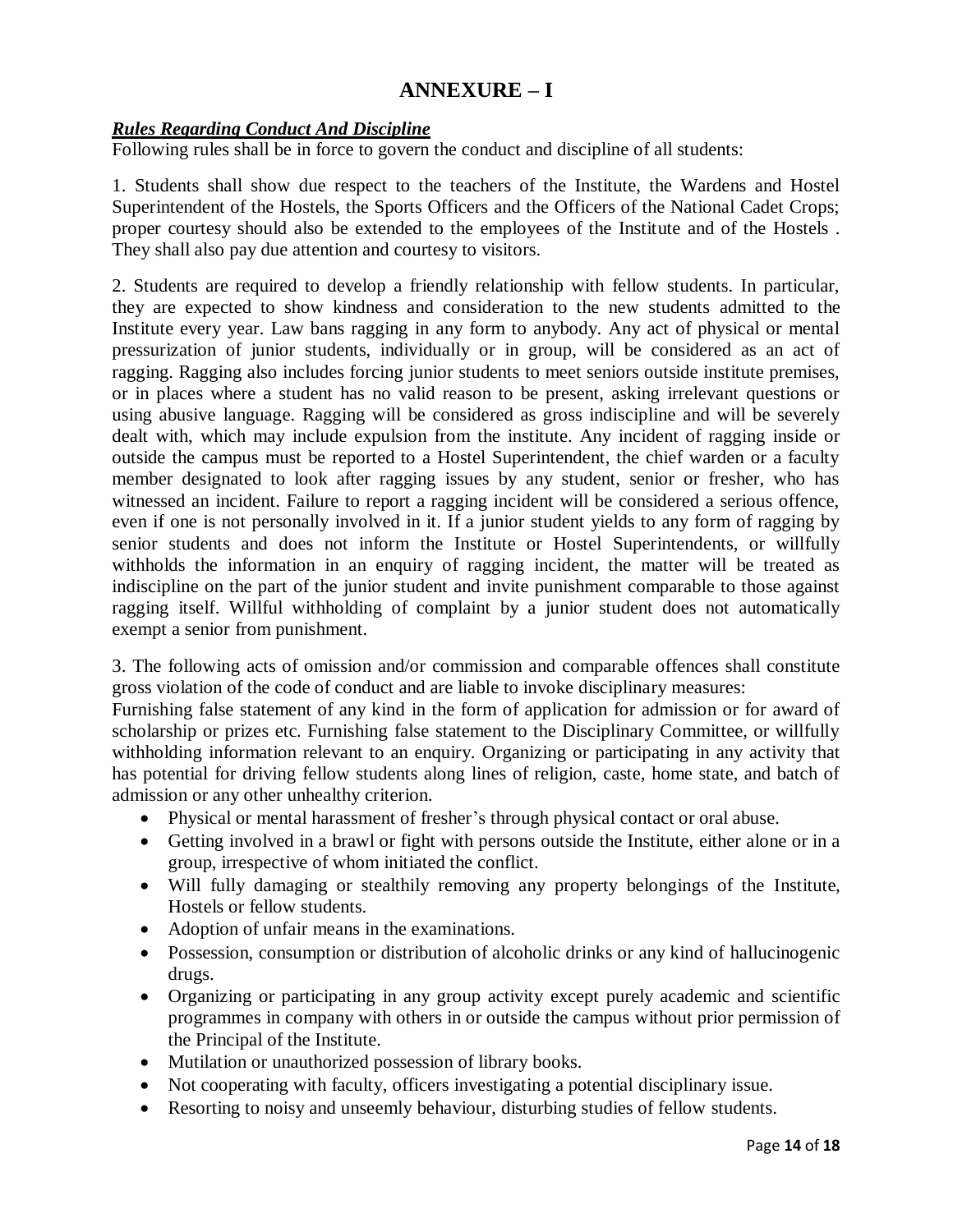## **ANNEXURE – I**

#### *Rules Regarding Conduct And Discipline*

Following rules shall be in force to govern the conduct and discipline of all students:

1. Students shall show due respect to the teachers of the Institute, the Wardens and Hostel Superintendent of the Hostels, the Sports Officers and the Officers of the National Cadet Crops; proper courtesy should also be extended to the employees of the Institute and of the Hostels . They shall also pay due attention and courtesy to visitors.

2. Students are required to develop a friendly relationship with fellow students. In particular, they are expected to show kindness and consideration to the new students admitted to the Institute every year. Law bans ragging in any form to anybody. Any act of physical or mental pressurization of junior students, individually or in group, will be considered as an act of ragging. Ragging also includes forcing junior students to meet seniors outside institute premises, or in places where a student has no valid reason to be present, asking irrelevant questions or using abusive language. Ragging will be considered as gross indiscipline and will be severely dealt with, which may include expulsion from the institute. Any incident of ragging inside or outside the campus must be reported to a Hostel Superintendent, the chief warden or a faculty member designated to look after ragging issues by any student, senior or fresher, who has witnessed an incident. Failure to report a ragging incident will be considered a serious offence, even if one is not personally involved in it. If a junior student yields to any form of ragging by senior students and does not inform the Institute or Hostel Superintendents, or willfully withholds the information in an enquiry of ragging incident, the matter will be treated as indiscipline on the part of the junior student and invite punishment comparable to those against ragging itself. Willful withholding of complaint by a junior student does not automatically exempt a senior from punishment.

3. The following acts of omission and/or commission and comparable offences shall constitute gross violation of the code of conduct and are liable to invoke disciplinary measures:

Furnishing false statement of any kind in the form of application for admission or for award of scholarship or prizes etc. Furnishing false statement to the Disciplinary Committee, or willfully withholding information relevant to an enquiry. Organizing or participating in any activity that has potential for driving fellow students along lines of religion, caste, home state, and batch of admission or any other unhealthy criterion.

- Physical or mental harassment of fresher's through physical contact or oral abuse.
- Getting involved in a brawl or fight with persons outside the Institute, either alone or in a group, irrespective of whom initiated the conflict.
- Will fully damaging or stealthily removing any property belongings of the Institute, Hostels or fellow students.
- Adoption of unfair means in the examinations.
- Possession, consumption or distribution of alcoholic drinks or any kind of hallucinogenic drugs.
- Organizing or participating in any group activity except purely academic and scientific programmes in company with others in or outside the campus without prior permission of the Principal of the Institute.
- Mutilation or unauthorized possession of library books.
- Not cooperating with faculty, officers investigating a potential disciplinary issue.
- Resorting to noisy and unseemly behaviour, disturbing studies of fellow students.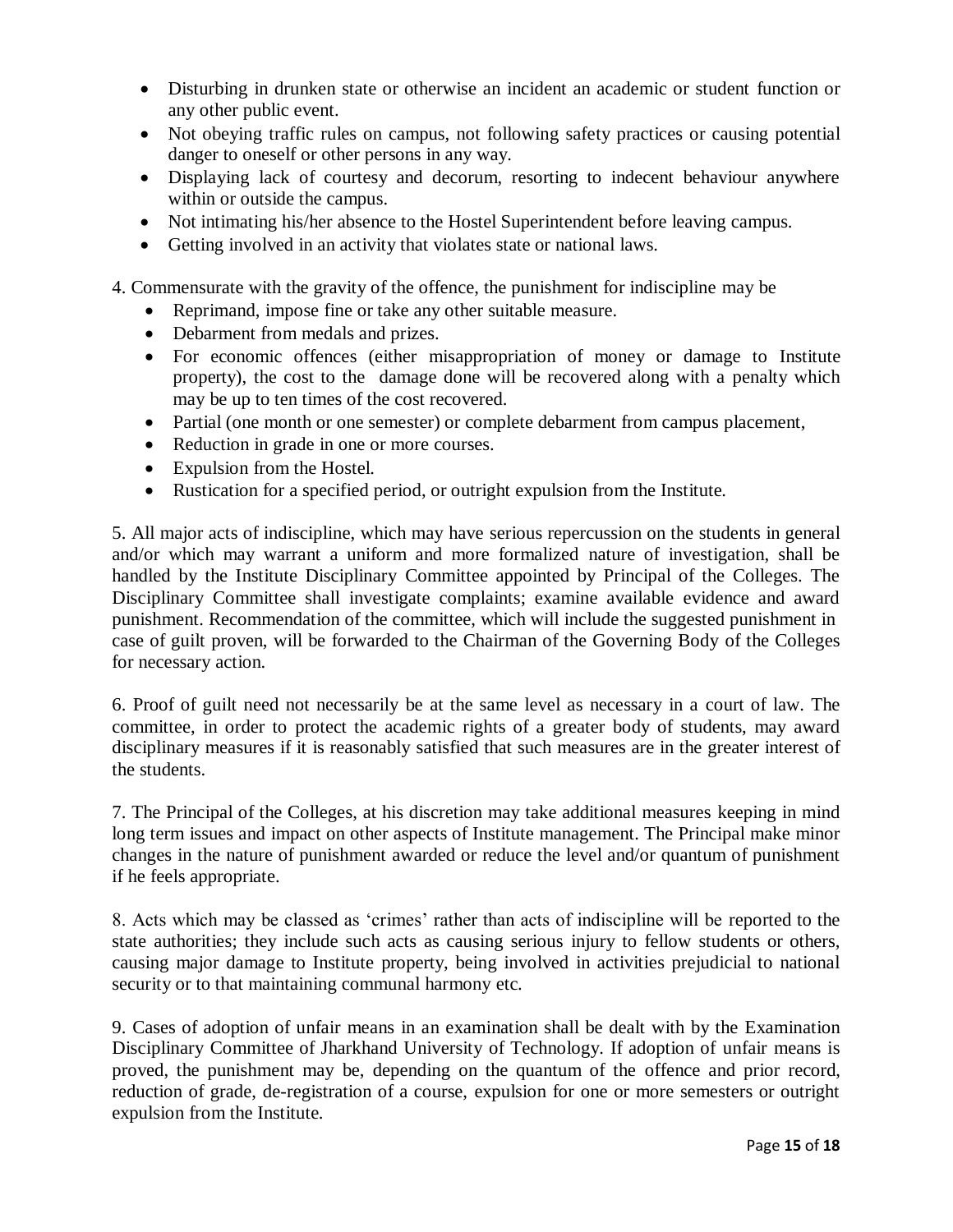- Disturbing in drunken state or otherwise an incident an academic or student function or any other public event.
- Not obeying traffic rules on campus, not following safety practices or causing potential danger to oneself or other persons in any way.
- Displaying lack of courtesy and decorum, resorting to indecent behaviour anywhere within or outside the campus.
- Not intimating his/her absence to the Hostel Superintendent before leaving campus.
- Getting involved in an activity that violates state or national laws.

4. Commensurate with the gravity of the offence, the punishment for indiscipline may be

- Reprimand, impose fine or take any other suitable measure.
- Debarment from medals and prizes.
- For economic offences (either misappropriation of money or damage to Institute property), the cost to the damage done will be recovered along with a penalty which may be up to ten times of the cost recovered.
- Partial (one month or one semester) or complete debarment from campus placement,
- Reduction in grade in one or more courses.
- Expulsion from the Hostel.
- Rustication for a specified period, or outright expulsion from the Institute.

5. All major acts of indiscipline, which may have serious repercussion on the students in general and/or which may warrant a uniform and more formalized nature of investigation, shall be handled by the Institute Disciplinary Committee appointed by Principal of the Colleges. The Disciplinary Committee shall investigate complaints; examine available evidence and award punishment. Recommendation of the committee, which will include the suggested punishment in case of guilt proven, will be forwarded to the Chairman of the Governing Body of the Colleges for necessary action.

6. Proof of guilt need not necessarily be at the same level as necessary in a court of law. The committee, in order to protect the academic rights of a greater body of students, may award disciplinary measures if it is reasonably satisfied that such measures are in the greater interest of the students.

7. The Principal of the Colleges, at his discretion may take additional measures keeping in mind long term issues and impact on other aspects of Institute management. The Principal make minor changes in the nature of punishment awarded or reduce the level and/or quantum of punishment if he feels appropriate.

8. Acts which may be classed as 'crimes' rather than acts of indiscipline will be reported to the state authorities; they include such acts as causing serious injury to fellow students or others, causing major damage to Institute property, being involved in activities prejudicial to national security or to that maintaining communal harmony etc.

9. Cases of adoption of unfair means in an examination shall be dealt with by the Examination Disciplinary Committee of Jharkhand University of Technology. If adoption of unfair means is proved, the punishment may be, depending on the quantum of the offence and prior record, reduction of grade, de-registration of a course, expulsion for one or more semesters or outright expulsion from the Institute.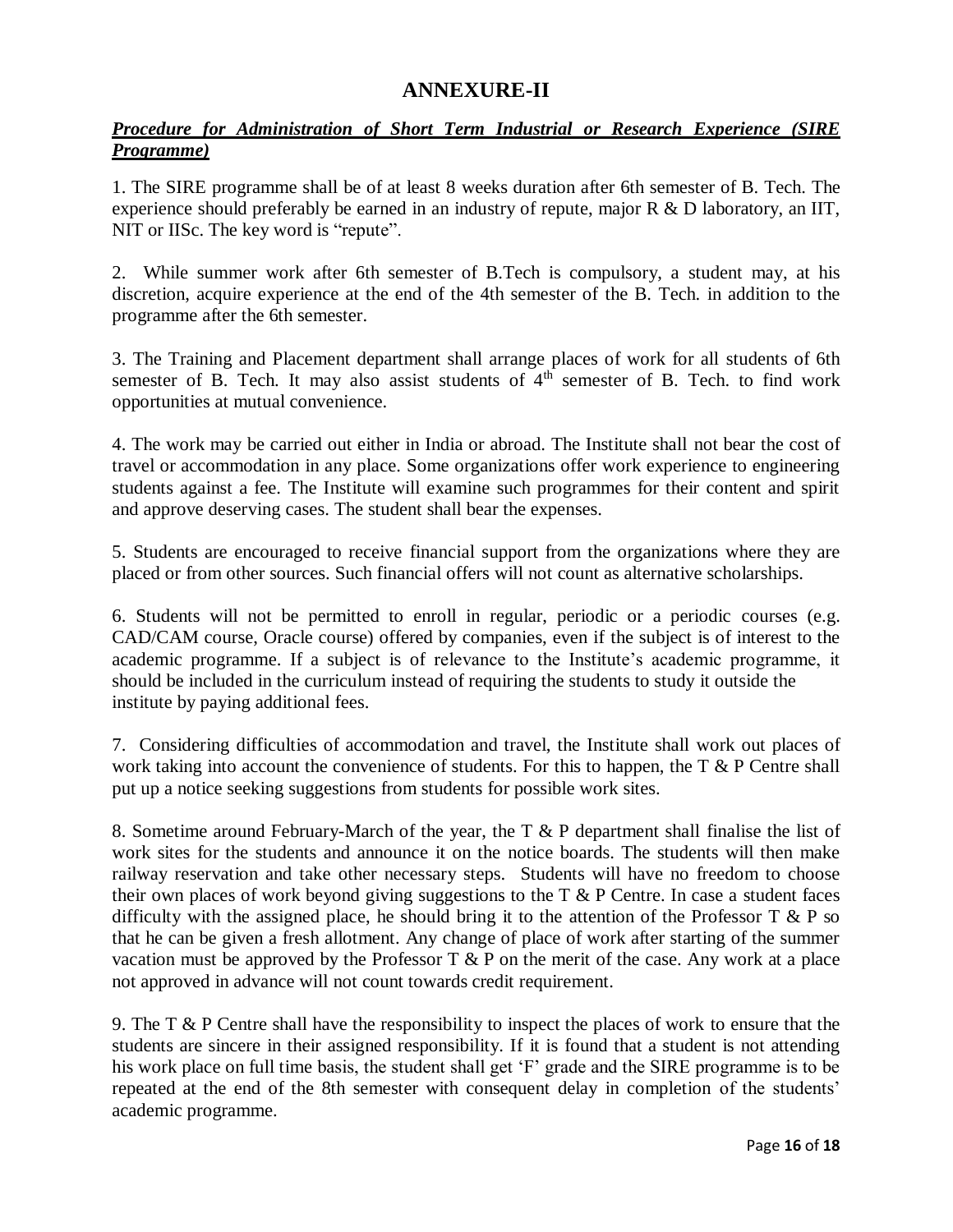### **ANNEXURE-II**

#### *Procedure for Administration of Short Term Industrial or Research Experience (SIRE Programme)*

1. The SIRE programme shall be of at least 8 weeks duration after 6th semester of B. Tech. The experience should preferably be earned in an industry of repute, major R & D laboratory, an IIT, NIT or IISc. The key word is "repute".

2. While summer work after 6th semester of B.Tech is compulsory, a student may, at his discretion, acquire experience at the end of the 4th semester of the B. Tech. in addition to the programme after the 6th semester.

3. The Training and Placement department shall arrange places of work for all students of 6th semester of B. Tech. It may also assist students of  $4<sup>th</sup>$  semester of B. Tech. to find work opportunities at mutual convenience.

4. The work may be carried out either in India or abroad. The Institute shall not bear the cost of travel or accommodation in any place. Some organizations offer work experience to engineering students against a fee. The Institute will examine such programmes for their content and spirit and approve deserving cases. The student shall bear the expenses.

5. Students are encouraged to receive financial support from the organizations where they are placed or from other sources. Such financial offers will not count as alternative scholarships.

6. Students will not be permitted to enroll in regular, periodic or a periodic courses (e.g. CAD/CAM course, Oracle course) offered by companies, even if the subject is of interest to the academic programme. If a subject is of relevance to the Institute's academic programme, it should be included in the curriculum instead of requiring the students to study it outside the institute by paying additional fees.

7. Considering difficulties of accommodation and travel, the Institute shall work out places of work taking into account the convenience of students. For this to happen, the T & P Centre shall put up a notice seeking suggestions from students for possible work sites.

8. Sometime around February-March of the year, the T & P department shall finalise the list of work sites for the students and announce it on the notice boards. The students will then make railway reservation and take other necessary steps. Students will have no freedom to choose their own places of work beyond giving suggestions to the  $T \& P$  Centre. In case a student faces difficulty with the assigned place, he should bring it to the attention of the Professor T  $\&$  P so that he can be given a fresh allotment. Any change of place of work after starting of the summer vacation must be approved by the Professor T  $\&$  P on the merit of the case. Any work at a place not approved in advance will not count towards credit requirement.

9. The T & P Centre shall have the responsibility to inspect the places of work to ensure that the students are sincere in their assigned responsibility. If it is found that a student is not attending his work place on full time basis, the student shall get 'F' grade and the SIRE programme is to be repeated at the end of the 8th semester with consequent delay in completion of the students' academic programme.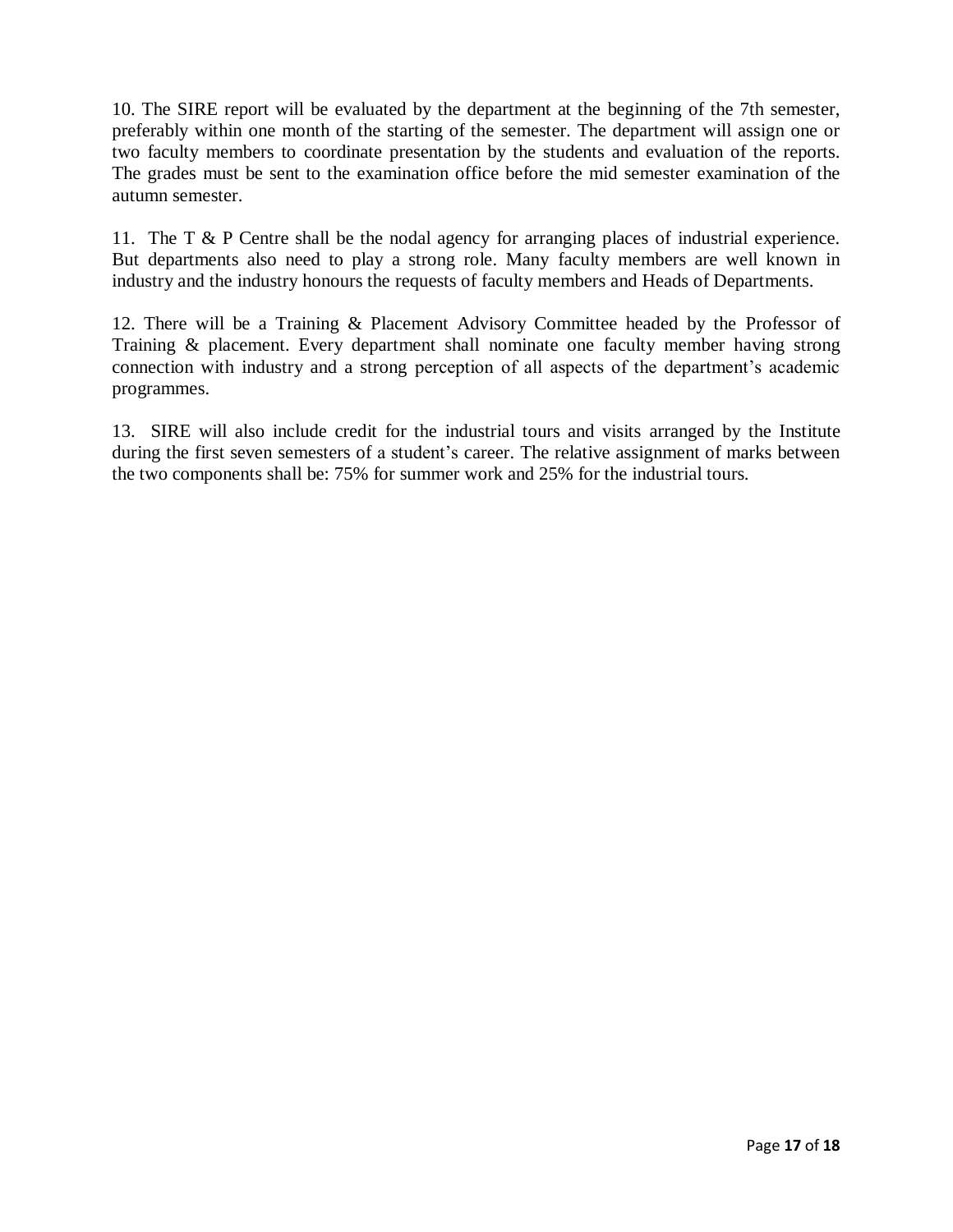10. The SIRE report will be evaluated by the department at the beginning of the 7th semester, preferably within one month of the starting of the semester. The department will assign one or two faculty members to coordinate presentation by the students and evaluation of the reports. The grades must be sent to the examination office before the mid semester examination of the autumn semester.

11. The T & P Centre shall be the nodal agency for arranging places of industrial experience. But departments also need to play a strong role. Many faculty members are well known in industry and the industry honours the requests of faculty members and Heads of Departments.

12. There will be a Training & Placement Advisory Committee headed by the Professor of Training & placement. Every department shall nominate one faculty member having strong connection with industry and a strong perception of all aspects of the department's academic programmes.

13. SIRE will also include credit for the industrial tours and visits arranged by the Institute during the first seven semesters of a student's career. The relative assignment of marks between the two components shall be: 75% for summer work and 25% for the industrial tours.